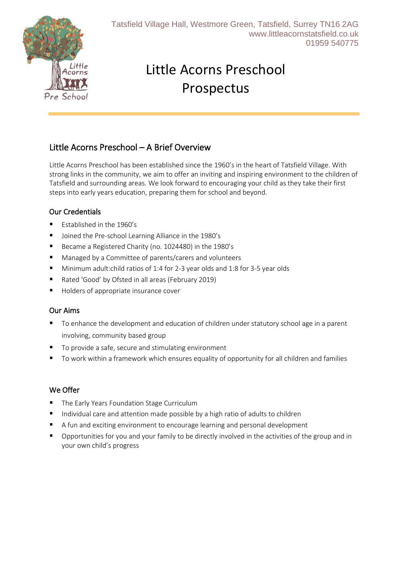

# Little Acorns Preschool Prospectus

# Little Acorns Preschool – A Brief Overview

Little Acorns Preschool has been established since the 1960's in the heart of Tatsfield Village. With strong links in the community, we aim to offer an inviting and inspiring environment to the children of Tatsfield and surrounding areas. We look forward to encouraging your child as they take their first steps into early years education, preparing them for school and beyond.

#### Our Credentials

- Established in the 1960's
- Joined the Pre-school Learning Alliance in the 1980's
- Became a Registered Charity (no. 1024480) in the 1980's
- Managed by a Committee of parents/carers and volunteers
- Minimum adult: child ratios of 1:4 for 2-3 year olds and 1:8 for 3-5 year olds
- Rated 'Good' by Ofsted in all areas (February 2019)
- Holders of appropriate insurance cover

#### Our Aims

- To enhance the development and education of children under statutory school age in a parent involving, community based group
- To provide a safe, secure and stimulating environment
- To work within a framework which ensures equality of opportunity for all children and families

#### We Offer

- The Early Years Foundation Stage Curriculum
- Individual care and attention made possible by a high ratio of adults to children
- A fun and exciting environment to encourage learning and personal development
- **•** Opportunities for you and your family to be directly involved in the activities of the group and in your own child's progress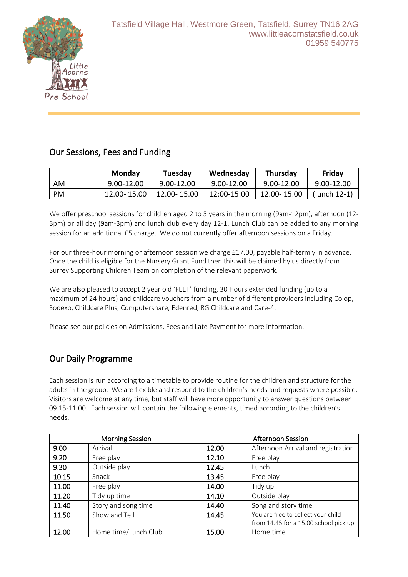

## Our Sessions, Fees and Funding

|      | <b>Monday</b> | Tuesday     | Wednesday      | <b>Thursday</b> | Friday         |
|------|---------------|-------------|----------------|-----------------|----------------|
| AM   | 9.00-12.00    | 9.00-12.00  | $9.00 - 12.00$ | 9.00-12.00      | $9.00 - 12.00$ |
| - PM | 12.00-15.00   | 12.00-15.00 | 12:00-15:00    | 12.00-15.00     | (lunch 12-1)   |

We offer preschool sessions for children aged 2 to 5 years in the morning (9am-12pm), afternoon (12-3pm) or all day (9am-3pm) and lunch club every day 12-1. Lunch Club can be added to any morning session for an additional £5 charge. We do not currently offer afternoon sessions on a Friday.

For our three-hour morning or afternoon session we charge £17.00, payable half-termly in advance. Once the child is eligible for the Nursery Grant Fund then this will be claimed by us directly from Surrey Supporting Children Team on completion of the relevant paperwork.

We are also pleased to accept 2 year old 'FEET' funding, 30 Hours extended funding (up to a maximum of 24 hours) and childcare vouchers from a number of different providers including Co op, Sodexo, Childcare Plus, Computershare, Edenred, RG Childcare and Care-4.

Please see our policies on Admissions, Fees and Late Payment for more information.

# Our Daily Programme

Each session is run according to a timetable to provide routine for the children and structure for the adults in the group. We are flexible and respond to the children's needs and requests where possible. Visitors are welcome at any time, but staff will have more opportunity to answer questions between 09.15-11.00. Each session will contain the following elements, timed according to the children's needs.

|       | <b>Morning Session</b> |       | <b>Afternoon Session</b>              |
|-------|------------------------|-------|---------------------------------------|
| 9.00  | Arrival                | 12.00 | Afternoon Arrival and registration    |
| 9.20  | Free play              | 12.10 | Free play                             |
| 9.30  | Outside play           | 12.45 | Lunch                                 |
| 10.15 | Snack                  | 13.45 | Free play                             |
| 11.00 | Free play              | 14.00 | Tidy up                               |
| 11.20 | Tidy up time           | 14.10 | Outside play                          |
| 11.40 | Story and song time    | 14.40 | Song and story time                   |
| 11.50 | Show and Tell          | 14.45 | You are free to collect your child    |
|       |                        |       | from 14.45 for a 15.00 school pick up |
| 12.00 | Home time/Lunch Club   | 15.00 | Home time                             |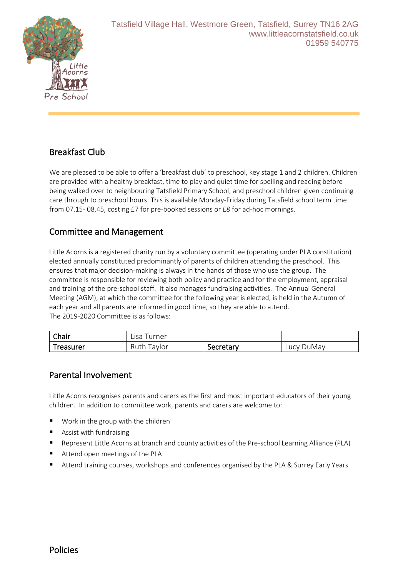

# Breakfast Club

We are pleased to be able to offer a 'breakfast club' to preschool, key stage 1 and 2 children. Children are provided with a healthy breakfast, time to play and quiet time for spelling and reading before being walked over to neighbouring Tatsfield Primary School, and preschool children given continuing care through to preschool hours. This is available Monday-Friday during Tatsfield school term time from 07.15- 08.45, costing £7 for pre-booked sessions or £8 for ad-hoc mornings.

### Committee and Management

Little Acorns is a registered charity run by a voluntary committee (operating under PLA constitution) elected annually constituted predominantly of parents of children attending the preschool. This ensures that major decision-making is always in the hands of those who use the group. The committee is responsible for reviewing both policy and practice and for the employment, appraisal and training of the pre-school staff. It also manages fundraising activities. The Annual General Meeting (AGM), at which the committee for the following year is elected, is held in the Autumn of each year and all parents are informed in good time, so they are able to attend. The 2019-2020 Committee is as follows:

| Chair     | urner ،<br>Lisa. |           |            |
|-----------|------------------|-----------|------------|
| Treasurer | Ruth<br>i avlor  | Secretary | Lucy DuMay |

#### Parental Involvement

Little Acorns recognises parents and carers as the first and most important educators of their young children. In addition to committee work, parents and carers are welcome to:

- Work in the group with the children
- Assist with fundraising
- Represent Little Acorns at branch and county activities of the Pre-school Learning Alliance (PLA)
- Attend open meetings of the PLA
- Attend training courses, workshops and conferences organised by the PLA & Surrey Early Years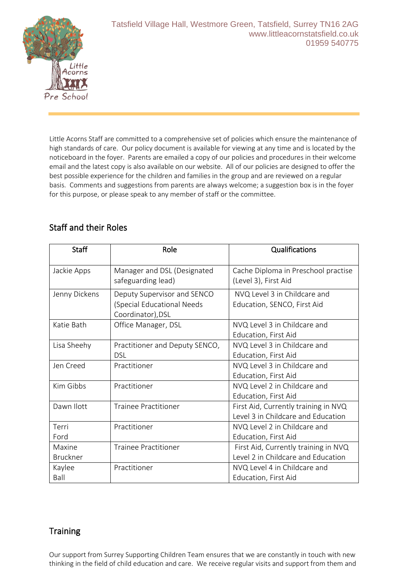

Little Acorns Staff are committed to a comprehensive set of policies which ensure the maintenance of high standards of care. Our policy document is available for viewing at any time and is located by the noticeboard in the foyer. Parents are emailed a copy of our policies and procedures in their welcome email and the latest copy is also available on our website. All of our policies are designed to offer the best possible experience for the children and families in the group and are reviewed on a regular basis. Comments and suggestions from parents are always welcome; a suggestion box is in the foyer for this purpose, or please speak to any member of staff or the committee.

# Staff and their Roles

| <b>Staff</b>              | Role                                                                           | Qualifications                                                             |
|---------------------------|--------------------------------------------------------------------------------|----------------------------------------------------------------------------|
| Jackie Apps               | Manager and DSL (Designated<br>safeguarding lead)                              | Cache Diploma in Preschool practise<br>(Level 3), First Aid                |
| Jenny Dickens             | Deputy Supervisor and SENCO<br>(Special Educational Needs<br>Coordinator), DSL | NVQ Level 3 in Childcare and<br>Education, SENCO, First Aid                |
| Katie Bath                | Office Manager, DSL                                                            | NVQ Level 3 in Childcare and<br><b>Education, First Aid</b>                |
| Lisa Sheehy               | Practitioner and Deputy SENCO,<br>DSL                                          | NVQ Level 3 in Childcare and<br>Education, First Aid                       |
| Jen Creed                 | Practitioner                                                                   | NVQ Level 3 in Childcare and<br>Education, First Aid                       |
| Kim Gibbs                 | Practitioner                                                                   | NVQ Level 2 in Childcare and<br>Education, First Aid                       |
| Dawn Ilott                | <b>Trainee Practitioner</b>                                                    | First Aid, Currently training in NVQ<br>Level 3 in Childcare and Education |
| Terri<br>Ford             | Practitioner                                                                   | NVQ Level 2 in Childcare and<br>Education, First Aid                       |
| Maxine<br><b>Bruckner</b> | <b>Trainee Practitioner</b>                                                    | First Aid, Currently training in NVQ<br>Level 2 in Childcare and Education |
| Kaylee<br>Ball            | Practitioner                                                                   | NVQ Level 4 in Childcare and<br>Education, First Aid                       |

# **Training**

Our support from Surrey Supporting Children Team ensures that we are constantly in touch with new thinking in the field of child education and care. We receive regular visits and support from them and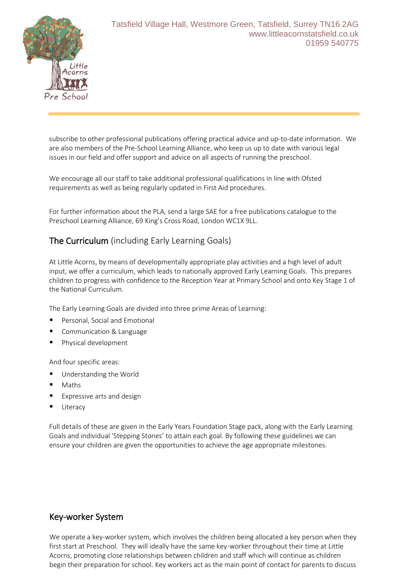

subscribe to other professional publications offering practical advice and up-to-date information. We are also members of the Pre-School Learning Alliance, who keep us up to date with various legal issues in our field and offer support and advice on all aspects of running the preschool.

We encourage all our staff to take additional professional qualifications in line with Ofsted requirements as well as being regularly updated in First Aid procedures.

For further information about the PLA, send a large SAE for a free publications catalogue to the Preschool Learning Alliance, 69 King's Cross Road, London WC1X 9LL.

## The Curriculum (including Early Learning Goals)

At Little Acorns, by means of developmentally appropriate play activities and a high level of adult input, we offer a curriculum, which leads to nationally approved Early Learning Goals. This prepares children to progress with confidence to the Reception Year at Primary School and onto Key Stage 1 of the National Curriculum.

The Early Learning Goals are divided into three prime Areas of Learning:

- Personal, Social and Emotional
- Communication & Language
- Physical development

And four specific areas:

- Understanding the World
- **Maths**
- Expressive arts and design
- Literacy

Full details of these are given in the Early Years Foundation Stage pack, along with the Early Learning Goals and individual 'Stepping Stones' to attain each goal. By following these guidelines we can ensure your children are given the opportunities to achieve the age appropriate milestones.

#### Key-worker System

We operate a key-worker system, which involves the children being allocated a key person when they first start at Preschool. They will ideally have the same key-worker throughout their time at Little Acorns, promoting close relationships between children and staff which will continue as children begin their preparation for school. Key workers act as the main point of contact for parents to discuss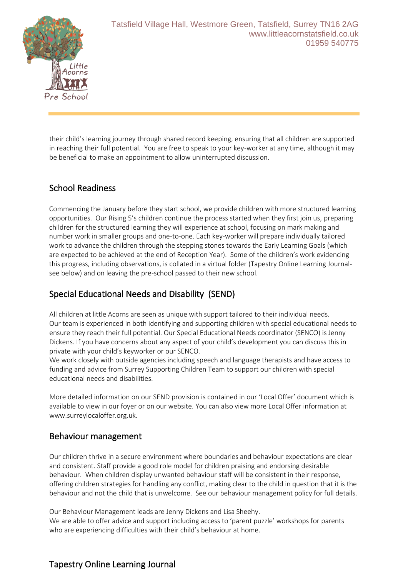

their child's learning journey through shared record keeping, ensuring that all children are supported in reaching their full potential. You are free to speak to your key-worker at any time, although it may be beneficial to make an appointment to allow uninterrupted discussion.

## School Readiness

Commencing the January before they start school, we provide children with more structured learning opportunities. Our Rising 5's children continue the process started when they first join us, preparing children for the structured learning they will experience at school, focusing on mark making and number work in smaller groups and one-to-one. Each key-worker will prepare individually tailored work to advance the children through the stepping stones towards the Early Learning Goals (which are expected to be achieved at the end of Reception Year). Some of the children's work evidencing this progress, including observations, is collated in a virtual folder (Tapestry Online Learning Journalsee below) and on leaving the pre-school passed to their new school.

## Special Educational Needs and Disability (SEND)

All children at little Acorns are seen as unique with support tailored to their individual needs. Our team is experienced in both identifying and supporting children with special educational needs to ensure they reach their full potential. Our Special Educational Needs coordinator (SENCO) is Jenny Dickens. If you have concerns about any aspect of your child's development you can discuss this in private with your child's keyworker or our SENCO.

We work closely with outside agencies including speech and language therapists and have access to funding and advice from Surrey Supporting Children Team to support our children with special educational needs and disabilities.

More detailed information on our SEND provision is contained in our 'Local Offer' document which is available to view in our foyer or on our website. You can also view more Local Offer information at www.surreylocaloffer.org.uk.

#### Behaviour management

Our children thrive in a secure environment where boundaries and behaviour expectations are clear and consistent. Staff provide a good role model for children praising and endorsing desirable behaviour. When children display unwanted behaviour staff will be consistent in their response, offering children strategies for handling any conflict, making clear to the child in question that it is the behaviour and not the child that is unwelcome. See our behaviour management policy for full details.

Our Behaviour Management leads are Jenny Dickens and Lisa Sheehy. We are able to offer advice and support including access to 'parent puzzle' workshops for parents who are experiencing difficulties with their child's behaviour at home.

# Tapestry Online Learning Journal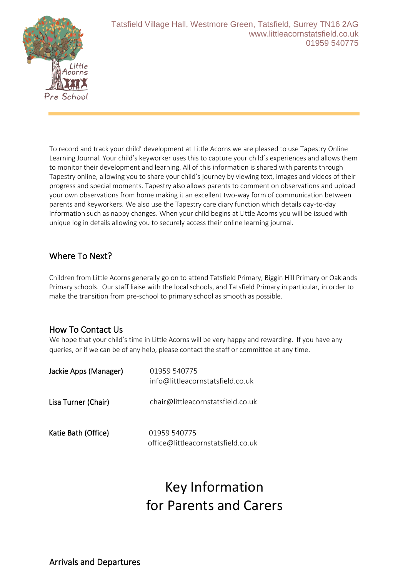

To record and track your child' development at Little Acorns we are pleased to use Tapestry Online Learning Journal. Your child's keyworker uses this to capture your child's experiences and allows them to monitor their development and learning. All of this information is shared with parents through Tapestry online, allowing you to share your child's journey by viewing text, images and videos of their progress and special moments. Tapestry also allows parents to comment on observations and upload your own observations from home making it an excellent two-way form of communication between parents and keyworkers. We also use the Tapestry care diary function which details day-to-day information such as nappy changes. When your child begins at Little Acorns you will be issued with unique log in details allowing you to securely access their online learning journal.

## Where To Next?

Children from Little Acorns generally go on to attend Tatsfield Primary, Biggin Hill Primary or Oaklands Primary schools. Our staff liaise with the local schools, and Tatsfield Primary in particular, in order to make the transition from pre-school to primary school as smooth as possible.

#### How To Contact Us

We hope that your child's time in Little Acorns will be very happy and rewarding. If you have any queries, or if we can be of any help, please contact the staff or committee at any time.

| Jackie Apps (Manager) | 01959 540775<br>info@littleacornstatsfield.co.uk   |
|-----------------------|----------------------------------------------------|
| Lisa Turner (Chair)   | chair@littleacornstatsfield.co.uk                  |
| Katie Bath (Office)   | 01959 540775<br>office@littleacornstatsfield.co.uk |

# Key Information for Parents and Carers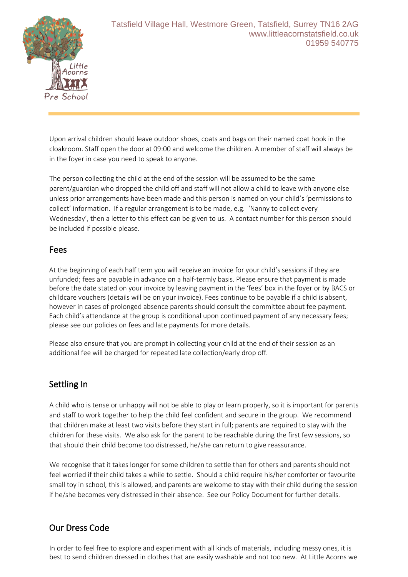

Upon arrival children should leave outdoor shoes, coats and bags on their named coat hook in the cloakroom. Staff open the door at 09:00 and welcome the children. A member of staff will always be in the foyer in case you need to speak to anyone.

The person collecting the child at the end of the session will be assumed to be the same parent/guardian who dropped the child off and staff will not allow a child to leave with anyone else unless prior arrangements have been made and this person is named on your child's 'permissions to collect' information. If a regular arrangement is to be made, e.g. 'Nanny to collect every Wednesday', then a letter to this effect can be given to us. A contact number for this person should be included if possible please.

#### Fees

At the beginning of each half term you will receive an invoice for your child's sessions if they are unfunded; fees are payable in advance on a half-termly basis. Please ensure that payment is made before the date stated on your invoice by leaving payment in the 'fees' box in the foyer or by BACS or childcare vouchers (details will be on your invoice). Fees continue to be payable if a child is absent, however in cases of prolonged absence parents should consult the committee about fee payment. Each child's attendance at the group is conditional upon continued payment of any necessary fees; please see our policies on fees and late payments for more details.

Please also ensure that you are prompt in collecting your child at the end of their session as an additional fee will be charged for repeated late collection/early drop off.

#### Settling In

A child who is tense or unhappy will not be able to play or learn properly, so it is important for parents and staff to work together to help the child feel confident and secure in the group. We recommend that children make at least two visits before they start in full; parents are required to stay with the children for these visits. We also ask for the parent to be reachable during the first few sessions, so that should their child become too distressed, he/she can return to give reassurance.

We recognise that it takes longer for some children to settle than for others and parents should not feel worried if their child takes a while to settle. Should a child require his/her comforter or favourite small toy in school, this is allowed, and parents are welcome to stay with their child during the session if he/she becomes very distressed in their absence. See our Policy Document for further details.

# Our Dress Code

In order to feel free to explore and experiment with all kinds of materials, including messy ones, it is best to send children dressed in clothes that are easily washable and not too new. At Little Acorns we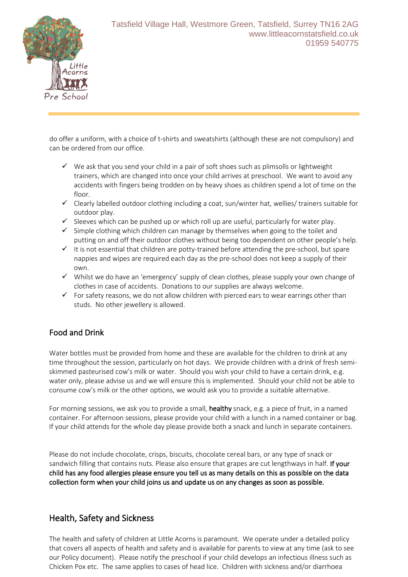

do offer a uniform, with a choice of t-shirts and sweatshirts (although these are not compulsory) and can be ordered from our office.

- $\checkmark$  We ask that you send your child in a pair of soft shoes such as plimsolls or lightweight trainers, which are changed into once your child arrives at preschool. We want to avoid any accidents with fingers being trodden on by heavy shoes as children spend a lot of time on the floor.
- ✓ Clearly labelled outdoor clothing including a coat, sun/winter hat, wellies/ trainers suitable for outdoor play.
- $\checkmark$  Sleeves which can be pushed up or which roll up are useful, particularly for water play.
- $\checkmark$  Simple clothing which children can manage by themselves when going to the toilet and putting on and off their outdoor clothes without being too dependent on other people's help.
- ✓ It is not essential that children are potty-trained before attending the pre-school, but spare nappies and wipes are required each day as the pre-school does not keep a supply of their own.
- $\checkmark$  Whilst we do have an 'emergency' supply of clean clothes, please supply your own change of clothes in case of accidents. Donations to our supplies are always welcome.
- $\checkmark$  For safety reasons, we do not allow children with pierced ears to wear earrings other than studs. No other jewellery is allowed.

#### Food and Drink

Water bottles must be provided from home and these are available for the children to drink at any time throughout the session, particularly on hot days. We provide children with a drink of fresh semiskimmed pasteurised cow's milk or water. Should you wish your child to have a certain drink, e.g. water only, please advise us and we will ensure this is implemented. Should your child not be able to consume cow's milk or the other options, we would ask you to provide a suitable alternative.

For morning sessions, we ask you to provide a small, healthy snack, e.g. a piece of fruit, in a named container. For afternoon sessions, please provide your child with a lunch in a named container or bag. If your child attends for the whole day please provide both a snack and lunch in separate containers.

Please do not include chocolate, crisps, biscuits, chocolate cereal bars, or any type of snack or sandwich filling that contains nuts. Please also ensure that grapes are cut lengthways in half. If your child has any food allergies please ensure you tell us as many details on this as possible on the data collection form when your child joins us and update us on any changes as soon as possible.

#### Health, Safety and Sickness

The health and safety of children at Little Acorns is paramount. We operate under a detailed policy that covers all aspects of health and safety and is available for parents to view at any time (ask to see our Policy document). Please notify the preschool if your child develops an infectious illness such as Chicken Pox etc. The same applies to cases of head lice. Children with sickness and/or diarrhoea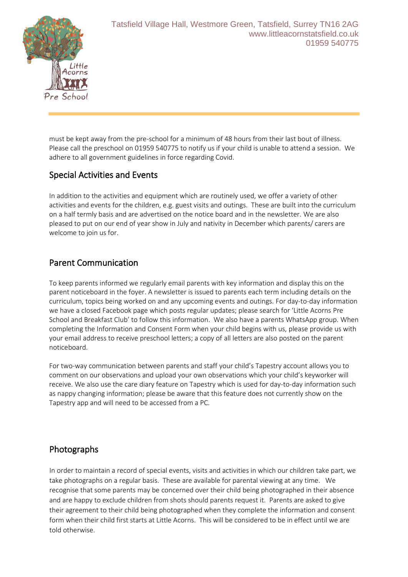

must be kept away from the pre-school for a minimum of 48 hours from their last bout of illness. Please call the preschool on 01959 540775 to notify us if your child is unable to attend a session. We adhere to all government guidelines in force regarding Covid.

## Special Activities and Events

In addition to the activities and equipment which are routinely used, we offer a variety of other activities and events for the children, e.g. guest visits and outings. These are built into the curriculum on a half termly basis and are advertised on the notice board and in the newsletter. We are also pleased to put on our end of year show in July and nativity in December which parents/ carers are welcome to join us for.

## Parent Communication

To keep parents informed we regularly email parents with key information and display this on the parent noticeboard in the foyer. A newsletter is issued to parents each term including details on the curriculum, topics being worked on and any upcoming events and outings. For day-to-day information we have a closed Facebook page which posts regular updates; please search for 'Little Acorns Pre School and Breakfast Club' to follow this information. We also have a parents WhatsApp group. When completing the Information and Consent Form when your child begins with us, please provide us with your email address to receive preschool letters; a copy of all letters are also posted on the parent noticeboard.

For two-way communication between parents and staff your child's Tapestry account allows you to comment on our observations and upload your own observations which your child's keyworker will receive. We also use the care diary feature on Tapestry which is used for day-to-day information such as nappy changing information; please be aware that this feature does not currently show on the Tapestry app and will need to be accessed from a PC.

# Photographs

In order to maintain a record of special events, visits and activities in which our children take part, we take photographs on a regular basis. These are available for parental viewing at any time. We recognise that some parents may be concerned over their child being photographed in their absence and are happy to exclude children from shots should parents request it. Parents are asked to give their agreement to their child being photographed when they complete the information and consent form when their child first starts at Little Acorns. This will be considered to be in effect until we are told otherwise.